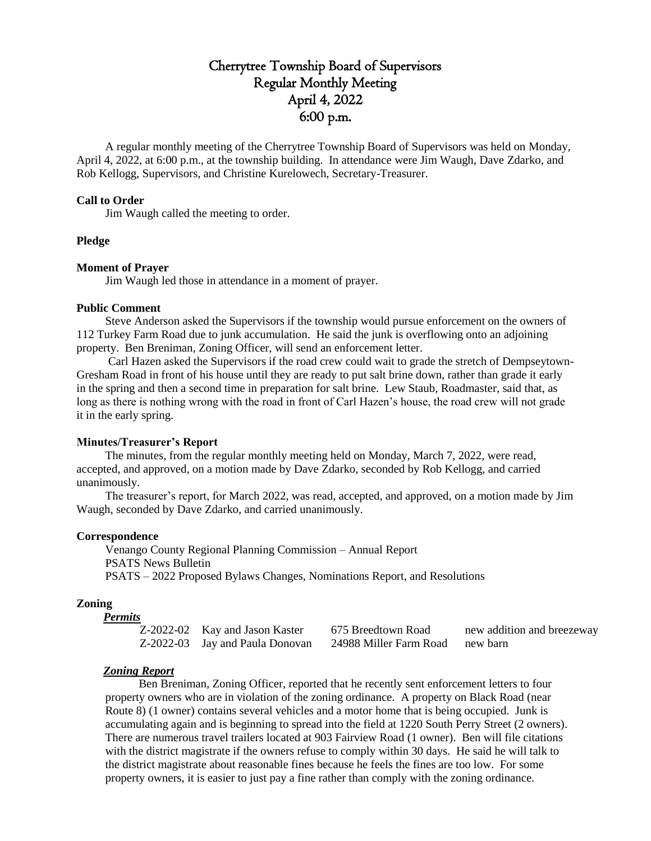# Cherrytree Township Board of Supervisors Regular Monthly Meeting April 4, 2022 6:00 p.m.

A regular monthly meeting of the Cherrytree Township Board of Supervisors was held on Monday, April 4, 2022, at 6:00 p.m., at the township building. In attendance were Jim Waugh, Dave Zdarko, and Rob Kellogg, Supervisors, and Christine Kurelowech, Secretary-Treasurer.

#### **Call to Order**

Jim Waugh called the meeting to order.

#### **Pledge**

#### **Moment of Prayer**

Jim Waugh led those in attendance in a moment of prayer.

#### **Public Comment**

Steve Anderson asked the Supervisors if the township would pursue enforcement on the owners of 112 Turkey Farm Road due to junk accumulation. He said the junk is overflowing onto an adjoining property. Ben Breniman, Zoning Officer, will send an enforcement letter.

Carl Hazen asked the Supervisors if the road crew could wait to grade the stretch of Dempseytown-Gresham Road in front of his house until they are ready to put salt brine down, rather than grade it early in the spring and then a second time in preparation for salt brine. Lew Staub, Roadmaster, said that, as long as there is nothing wrong with the road in front of Carl Hazen's house, the road crew will not grade it in the early spring.

#### **Minutes/Treasurer's Report**

The minutes, from the regular monthly meeting held on Monday, March 7, 2022, were read, accepted, and approved, on a motion made by Dave Zdarko, seconded by Rob Kellogg, and carried unanimously.

The treasurer's report, for March 2022, was read, accepted, and approved, on a motion made by Jim Waugh, seconded by Dave Zdarko, and carried unanimously.

#### **Correspondence**

Venango County Regional Planning Commission – Annual Report PSATS News Bulletin PSATS – 2022 Proposed Bylaws Changes, Nominations Report, and Resolutions

#### **Zoning**

| <b>Permits</b> |                                 |                                 |                            |
|----------------|---------------------------------|---------------------------------|----------------------------|
|                | Z-2022-02 Kay and Jason Kaster  | 675 Breedtown Road              | new addition and breezeway |
|                | Z-2022-03 Jay and Paula Donovan | 24988 Miller Farm Road new barn |                            |

#### *Zoning Report*

Ben Breniman, Zoning Officer, reported that he recently sent enforcement letters to four property owners who are in violation of the zoning ordinance. A property on Black Road (near Route 8) (1 owner) contains several vehicles and a motor home that is being occupied. Junk is accumulating again and is beginning to spread into the field at 1220 South Perry Street (2 owners). There are numerous travel trailers located at 903 Fairview Road (1 owner). Ben will file citations with the district magistrate if the owners refuse to comply within 30 days. He said he will talk to the district magistrate about reasonable fines because he feels the fines are too low. For some property owners, it is easier to just pay a fine rather than comply with the zoning ordinance.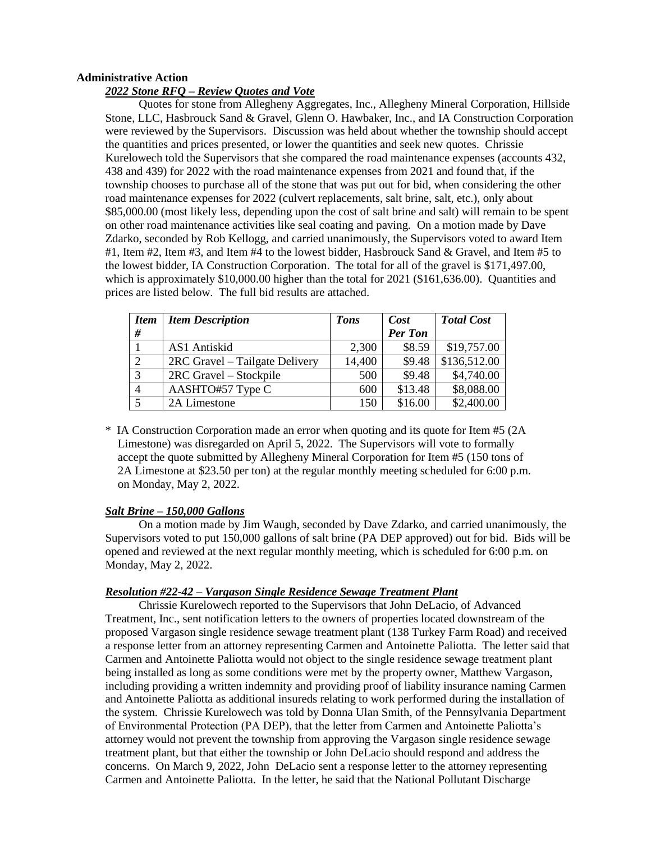# **Administrative Action**

#### *2022 Stone RFQ – Review Quotes and Vote*

Quotes for stone from Allegheny Aggregates, Inc., Allegheny Mineral Corporation, Hillside Stone, LLC, Hasbrouck Sand & Gravel, Glenn O. Hawbaker, Inc., and IA Construction Corporation were reviewed by the Supervisors. Discussion was held about whether the township should accept the quantities and prices presented, or lower the quantities and seek new quotes. Chrissie Kurelowech told the Supervisors that she compared the road maintenance expenses (accounts 432, 438 and 439) for 2022 with the road maintenance expenses from 2021 and found that, if the township chooses to purchase all of the stone that was put out for bid, when considering the other road maintenance expenses for 2022 (culvert replacements, salt brine, salt, etc.), only about \$85,000.00 (most likely less, depending upon the cost of salt brine and salt) will remain to be spent on other road maintenance activities like seal coating and paving. On a motion made by Dave Zdarko, seconded by Rob Kellogg, and carried unanimously, the Supervisors voted to award Item #1, Item #2, Item #3, and Item #4 to the lowest bidder, Hasbrouck Sand & Gravel, and Item #5 to the lowest bidder, IA Construction Corporation. The total for all of the gravel is \$171,497.00, which is approximately \$10,000.00 higher than the total for 2021 (\$161,636.00). Quantities and prices are listed below. The full bid results are attached.

| <b>Item</b>    | <b>Item Description</b>        | <b>Tons</b> | Cost           | <b>Total Cost</b> |
|----------------|--------------------------------|-------------|----------------|-------------------|
| #              |                                |             | <b>Per Ton</b> |                   |
|                | AS1 Antiskid                   | 2,300       | \$8.59         | \$19,757.00       |
| $\overline{2}$ | 2RC Gravel – Tailgate Delivery | 14,400      | \$9.48         | \$136,512.00      |
| $\mathbf{R}$   | 2RC Gravel – Stockpile         | 500         | \$9.48         | \$4,740.00        |
|                | AASHTO#57 Type C               | 600         | \$13.48        | \$8,088.00        |
|                | 2A Limestone                   | 150         | \$16.00        | \$2,400.00        |

\* IA Construction Corporation made an error when quoting and its quote for Item #5 (2A Limestone) was disregarded on April 5, 2022. The Supervisors will vote to formally accept the quote submitted by Allegheny Mineral Corporation for Item #5 (150 tons of 2A Limestone at \$23.50 per ton) at the regular monthly meeting scheduled for 6:00 p.m. on Monday, May 2, 2022.

#### *Salt Brine – 150,000 Gallons*

On a motion made by Jim Waugh, seconded by Dave Zdarko, and carried unanimously, the Supervisors voted to put 150,000 gallons of salt brine (PA DEP approved) out for bid. Bids will be opened and reviewed at the next regular monthly meeting, which is scheduled for 6:00 p.m. on Monday, May 2, 2022.

#### *Resolution #22-42 – Vargason Single Residence Sewage Treatment Plant*

Chrissie Kurelowech reported to the Supervisors that John DeLacio, of Advanced Treatment, Inc., sent notification letters to the owners of properties located downstream of the proposed Vargason single residence sewage treatment plant (138 Turkey Farm Road) and received a response letter from an attorney representing Carmen and Antoinette Paliotta. The letter said that Carmen and Antoinette Paliotta would not object to the single residence sewage treatment plant being installed as long as some conditions were met by the property owner, Matthew Vargason, including providing a written indemnity and providing proof of liability insurance naming Carmen and Antoinette Paliotta as additional insureds relating to work performed during the installation of the system. Chrissie Kurelowech was told by Donna Ulan Smith, of the Pennsylvania Department of Environmental Protection (PA DEP), that the letter from Carmen and Antoinette Paliotta's attorney would not prevent the township from approving the Vargason single residence sewage treatment plant, but that either the township or John DeLacio should respond and address the concerns. On March 9, 2022, John DeLacio sent a response letter to the attorney representing Carmen and Antoinette Paliotta. In the letter, he said that the National Pollutant Discharge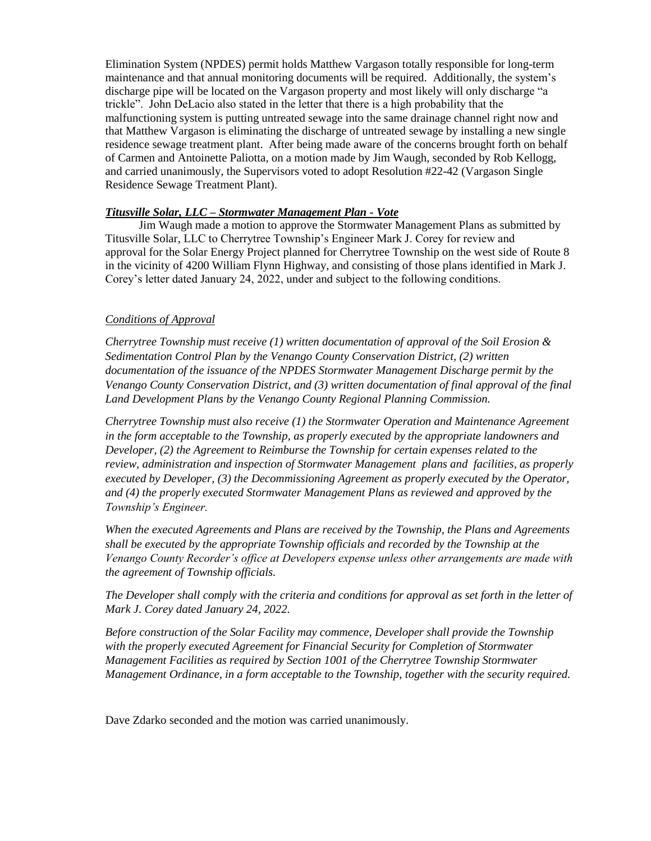Elimination System (NPDES) permit holds Matthew Vargason totally responsible for long-term maintenance and that annual monitoring documents will be required. Additionally, the system's discharge pipe will be located on the Vargason property and most likely will only discharge "a trickle". John DeLacio also stated in the letter that there is a high probability that the malfunctioning system is putting untreated sewage into the same drainage channel right now and that Matthew Vargason is eliminating the discharge of untreated sewage by installing a new single residence sewage treatment plant. After being made aware of the concerns brought forth on behalf of Carmen and Antoinette Paliotta, on a motion made by Jim Waugh, seconded by Rob Kellogg, and carried unanimously, the Supervisors voted to adopt Resolution #22-42 (Vargason Single Residence Sewage Treatment Plant).

#### *Titusville Solar, LLC – Stormwater Management Plan - Vote*

Jim Waugh made a motion to approve the Stormwater Management Plans as submitted by Titusville Solar, LLC to Cherrytree Township's Engineer Mark J. Corey for review and approval for the Solar Energy Project planned for Cherrytree Township on the west side of Route 8 in the vicinity of 4200 William Flynn Highway, and consisting of those plans identified in Mark J. Corey's letter dated January 24, 2022, under and subject to the following conditions.

# *Conditions of Approval*

*Cherrytree Township must receive (1) written documentation of approval of the Soil Erosion & Sedimentation Control Plan by the Venango County Conservation District, (2) written documentation of the issuance of the NPDES Stormwater Management Discharge permit by the Venango County Conservation District, and (3) written documentation of final approval of the final Land Development Plans by the Venango County Regional Planning Commission.* 

*Cherrytree Township must also receive (1) the Stormwater Operation and Maintenance Agreement in the form acceptable to the Township, as properly executed by the appropriate landowners and Developer, (2) the Agreement to Reimburse the Township for certain expenses related to the review, administration and inspection of Stormwater Management plans and facilities, as properly executed by Developer, (3) the Decommissioning Agreement as properly executed by the Operator, and (4) the properly executed Stormwater Management Plans as reviewed and approved by the Township's Engineer.* 

*When the executed Agreements and Plans are received by the Township, the Plans and Agreements shall be executed by the appropriate Township officials and recorded by the Township at the Venango County Recorder's office at Developers expense unless other arrangements are made with the agreement of Township officials.* 

*The Developer shall comply with the criteria and conditions for approval as set forth in the letter of Mark J. Corey dated January 24, 2022.* 

*Before construction of the Solar Facility may commence, Developer shall provide the Township with the properly executed Agreement for Financial Security for Completion of Stormwater Management Facilities as required by Section 1001 of the Cherrytree Township Stormwater Management Ordinance, in a form acceptable to the Township, together with the security required.*

Dave Zdarko seconded and the motion was carried unanimously.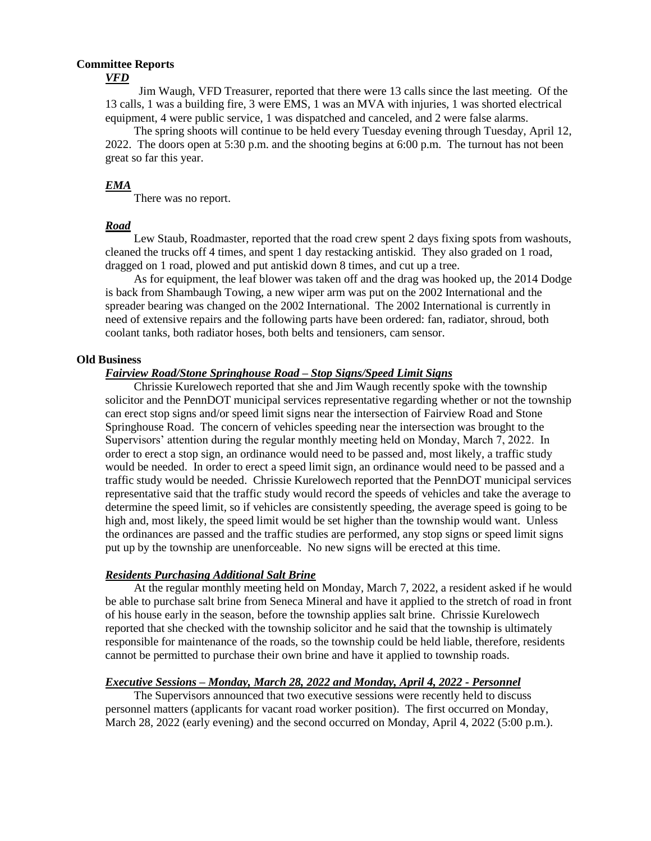# **Committee Reports**

*VFD*

Jim Waugh, VFD Treasurer, reported that there were 13 calls since the last meeting. Of the 13 calls, 1 was a building fire, 3 were EMS, 1 was an MVA with injuries, 1 was shorted electrical equipment, 4 were public service, 1 was dispatched and canceled, and 2 were false alarms.

The spring shoots will continue to be held every Tuesday evening through Tuesday, April 12, 2022. The doors open at 5:30 p.m. and the shooting begins at 6:00 p.m. The turnout has not been great so far this year.

# *EMA*

There was no report.

# *Road*

Lew Staub, Roadmaster, reported that the road crew spent 2 days fixing spots from washouts, cleaned the trucks off 4 times, and spent 1 day restacking antiskid. They also graded on 1 road, dragged on 1 road, plowed and put antiskid down 8 times, and cut up a tree.

As for equipment, the leaf blower was taken off and the drag was hooked up, the 2014 Dodge is back from Shambaugh Towing, a new wiper arm was put on the 2002 International and the spreader bearing was changed on the 2002 International. The 2002 International is currently in need of extensive repairs and the following parts have been ordered: fan, radiator, shroud, both coolant tanks, both radiator hoses, both belts and tensioners, cam sensor.

# **Old Business**

# *Fairview Road/Stone Springhouse Road – Stop Signs/Speed Limit Signs*

Chrissie Kurelowech reported that she and Jim Waugh recently spoke with the township solicitor and the PennDOT municipal services representative regarding whether or not the township can erect stop signs and/or speed limit signs near the intersection of Fairview Road and Stone Springhouse Road. The concern of vehicles speeding near the intersection was brought to the Supervisors' attention during the regular monthly meeting held on Monday, March 7, 2022. In order to erect a stop sign, an ordinance would need to be passed and, most likely, a traffic study would be needed. In order to erect a speed limit sign, an ordinance would need to be passed and a traffic study would be needed. Chrissie Kurelowech reported that the PennDOT municipal services representative said that the traffic study would record the speeds of vehicles and take the average to determine the speed limit, so if vehicles are consistently speeding, the average speed is going to be high and, most likely, the speed limit would be set higher than the township would want. Unless the ordinances are passed and the traffic studies are performed, any stop signs or speed limit signs put up by the township are unenforceable. No new signs will be erected at this time.

# *Residents Purchasing Additional Salt Brine*

At the regular monthly meeting held on Monday, March 7, 2022, a resident asked if he would be able to purchase salt brine from Seneca Mineral and have it applied to the stretch of road in front of his house early in the season, before the township applies salt brine. Chrissie Kurelowech reported that she checked with the township solicitor and he said that the township is ultimately responsible for maintenance of the roads, so the township could be held liable, therefore, residents cannot be permitted to purchase their own brine and have it applied to township roads.

# *Executive Sessions – Monday, March 28, 2022 and Monday, April 4, 2022 - Personnel*

The Supervisors announced that two executive sessions were recently held to discuss personnel matters (applicants for vacant road worker position). The first occurred on Monday, March 28, 2022 (early evening) and the second occurred on Monday, April 4, 2022 (5:00 p.m.).